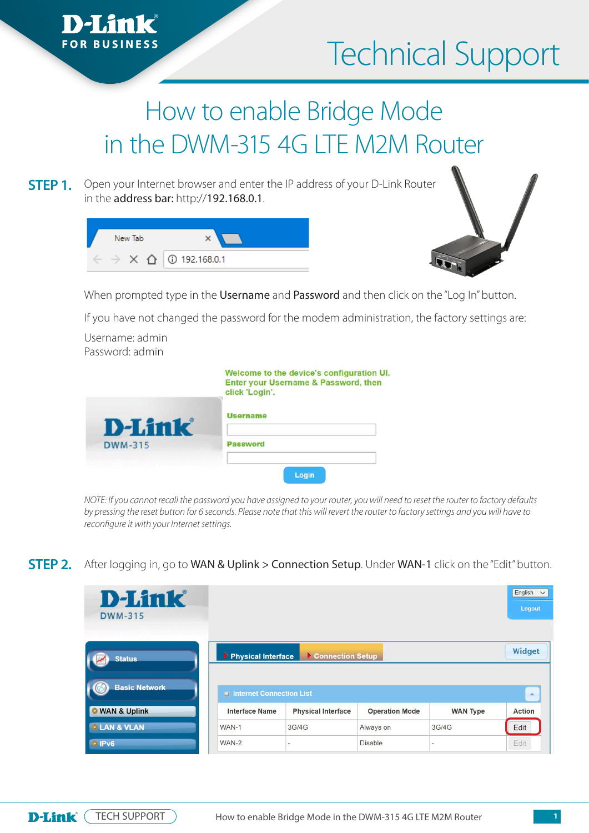## Technical Support

## How to enable Bridge Mode in the DWM-315 4G LTE M2M Router

**STEP 1.** Open your Internet browser and enter the IP address of your D-Link Router in the **address bar:** http://1**92.168.0.1**. **STEP 1.**

| New Tab |                                         |
|---------|-----------------------------------------|
|         | $\times$ $\hat{\Omega}$   ① 192.168.0.1 |



When prompted type in the Username and Password and then click on the "Log In" button. then click on the "Log In" but the "Log In" but the "Log In" but the "Log In" but the "Log In" but the "Log In

If you have not changed the password for the modem administration, the factory settings are: If you have not changed the password for the modem administration, the factory settings are:

Username: admin Password: admin

|                | Welcome to the device's configuration UI.<br>Enter your Username & Password, then<br>click 'Login'. |
|----------------|-----------------------------------------------------------------------------------------------------|
| <b>D-Link</b>  | <b>Username</b>                                                                                     |
| <b>DWM-315</b> | <b>Password</b>                                                                                     |
|                | Login                                                                                               |

*NOTE: If you cannot recall the password you have assigned to your router, you will need to reset the router to factory defaults by pressing the reset button for 6 seconds. Please note that this will revert the router to factory settings and you will have to reconfigure it with your Internet settings.* 

## After logging in, go to WAN & Uplink > Connection Setup. Under WAN-1 click on the "Edit" button. **STEP 2.**

| <b>D-Link</b><br><b>DWM-315</b>           |                          |                           |                       |                 | $English \sim$<br>Logout |
|-------------------------------------------|--------------------------|---------------------------|-----------------------|-----------------|--------------------------|
| 202223330000000000000000<br><b>Status</b> | Physical Interface       | Connection Setup          |                       |                 | Widget                   |
| <b>Basic Network</b>                      | Internet Connection List |                           |                       |                 | $\Delta$                 |
| <b>WAN &amp; Uplink</b>                   | <b>Interface Name</b>    | <b>Physical Interface</b> | <b>Operation Mode</b> | <b>WAN Type</b> | <b>Action</b>            |
| <b><i>• LAN &amp; VLAN</i></b>            | WAN-1                    | 3G/4G                     | Always on             | 3G/4G           | Edit                     |
|                                           |                          |                           |                       |                 |                          |